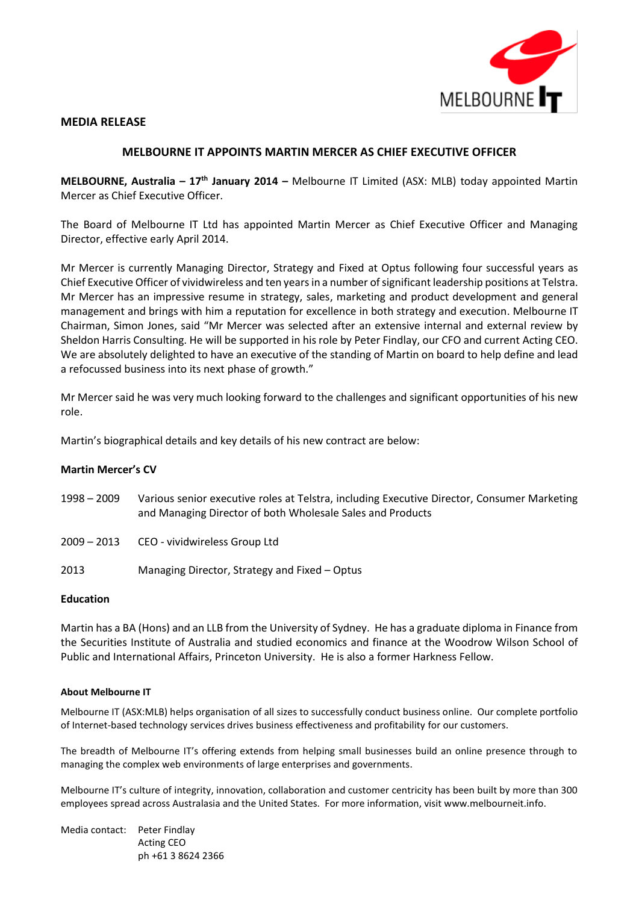

### **MEDIA RELEASE**

# **MELBOURNE IT APPOINTS MARTIN MERCER AS CHIEF EXECUTIVE OFFICER**

**MELBOURNE, Australia – 17th January 2014 –** Melbourne IT Limited (ASX: MLB) today appointed Martin Mercer as Chief Executive Officer.

The Board of Melbourne IT Ltd has appointed Martin Mercer as Chief Executive Officer and Managing Director, effective early April 2014.

Mr Mercer is currently Managing Director, Strategy and Fixed at Optus following four successful years as Chief Executive Officer of vividwireless and ten years in a number of significant leadership positions at Telstra. Mr Mercer has an impressive resume in strategy, sales, marketing and product development and general management and brings with him a reputation for excellence in both strategy and execution. Melbourne IT Chairman, Simon Jones, said "Mr Mercer was selected after an extensive internal and external review by Sheldon Harris Consulting. He will be supported in his role by Peter Findlay, our CFO and current Acting CEO. We are absolutely delighted to have an executive of the standing of Martin on board to help define and lead a refocussed business into its next phase of growth."

Mr Mercer said he was very much looking forward to the challenges and significant opportunities of his new role.

Martin's biographical details and key details of his new contract are below:

# **Martin Mercer's CV**

| $1998 - 2009$ | Various senior executive roles at Telstra, including Executive Director, Consumer Marketing |
|---------------|---------------------------------------------------------------------------------------------|
|               | and Managing Director of both Wholesale Sales and Products                                  |

- 2009 2013 CEO vividwireless Group Ltd
- 2013 Managing Director, Strategy and Fixed Optus

#### **Education**

Martin has a BA (Hons) and an LLB from the University of Sydney. He has a graduate diploma in Finance from the Securities Institute of Australia and studied economics and finance at the Woodrow Wilson School of Public and International Affairs, Princeton University. He is also a former Harkness Fellow.

#### **About Melbourne IT**

Melbourne IT (ASX:MLB) helps organisation of all sizes to successfully conduct business online. Our complete portfolio of Internet-based technology services drives business effectiveness and profitability for our customers.

The breadth of Melbourne IT's offering extends from helping small businesses build an online presence through to managing the complex web environments of large enterprises and governments.

Melbourne IT's culture of integrity, innovation, collaboration and customer centricity has been built by more than 300 employees spread across Australasia and the United States. For more information, visit www.melbourneit.info.

| Media contact: | Peter Findlay      |
|----------------|--------------------|
|                | <b>Acting CEO</b>  |
|                | ph +61 3 8624 2366 |